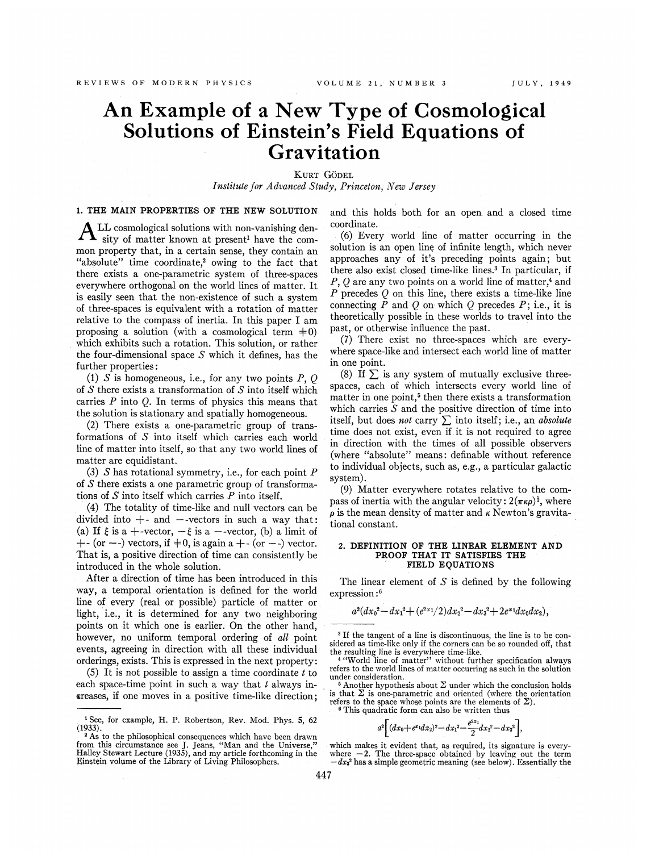# An Example of a New Type of Cosmological Solutions of Einstein's Field Equations of Gravitation

KURT GÖDEL Institute for Advanced Study, Princeton, New Jersey

## 1. THE MAIN PROPERTIES OF THE NEW SOLUTION

A LL cosmological solutions with non-vanishing density of matter known at present' have the common property that, in a certain sense, they contain an "absolute" time coordinate,<sup>2</sup> owing to the fact that there exists a one-parametric system of three-spaces everywhere orthogonal on the world lines of matter. It is easily seen that the non-existence of such a system of three-spaces is equivalent with a rotation of matter relative to the compass of inertia. In this paper I am proposing a solution (with a cosmological term  $\neq 0$ ) which exhibits such a rotation. This solution, or rather the four-dimensional space S which it defines, has the further properties:

(1)  $S$  is homogeneous, i.e., for any two points P, Q of  $S$  there exists a transformation of  $S$  into itself which carries  $P$  into  $Q$ . In terms of physics this means that the solution is stationary and spatially homogeneous.

(2) There exists a one-parametric group of transformations of 5 into itself which carries each world line of matter into itself, so that any two world lines of matter are equidistant,

(3)  $S$  has rotational symmetry, i.e., for each point  $P$ of 5 there exists a one parametric group of transformations of  $S$  into itself which carries  $P$  into itself.

(4) The totality of time-like and null vectors can be divided into  $+$ - and  $-$ -vectors in such a way that: (a) If  $\xi$  is a +-vector,  $-\xi$  is a --vector, (b) a limit of  $+$ - (or  $-$ -) vectors, if  $\pm$ 0, is again a  $+$ - (or  $-$ -) vector. That is, a positive direction of time can consistently be introduced in the whole solution.

After a direction of time has been introduced in this way, a temporal orientation is defined for the world line of every (real or possible) particle of matter or light, i.e., it is determined for any two neighboring points on it which one is earlier. On the other hand, however, no uniform temporal ordering of all point events, agreeing in direction with all these individual orderings, exists. This is expressed in the next property:

(5) It is not possible to assign a time coordinate  $t$  to each space-time point in such a way that  $t$  always increases, if one moves in a positive time-like direction; and this holds both for an open and a closed time coordinate.

(6) Every world line of matter occurring in the solution is an open line of infinite length, which never approaches any of it's preceding points again; but there also exist closed time-like lines.<sup>3</sup> In particular, if  $P, Q$  are any two points on a world line of matter,<sup>4</sup> and P precedes  $O$  on this line, there exists a time-like line connecting  $\overline{P}$  and  $Q$  on which  $Q$  precedes  $P$ ; i.e., it is theoretically possible in these worlds to travel into the past, or otherwise inhuence the past.

(7) There exist no three-spaces which are everywhere space-like and intersect each world line of matter in one point.

(8) If  $\Sigma$  is any system of mutually exclusive threespaces, each of which intersects every world line of matter in one point,<sup>5</sup> then there exists a transformation which carries  $S$  and the positive direction of time into itself, but does not carry  $\Sigma$  into itself; i.e., an absolute time does not exist, even if it is not required to agree in direction with the times of all possible observers (where "absolute" means: definable without reference to individual objects, such as, e.g., a particular galactic system).

(9) Matter everywhere rotates relative to the compass of inertia with the angular velocity:  $2(\pi \kappa \rho)^{\frac{1}{2}}$ , where  $\rho$  is the mean density of matter and  $\kappa$  Newton's gravitational constant.

#### 2. DEFINITION OF THE LINEAR ELEMENT AND PROOF THAT IT SATISFIES THE FIELD EQUATIONS

The linear element of  $S$  is defined by the following expression:<sup>6</sup>

$$
a^2 (dx_0^2 - dx_1^2 + (e^{2x_1}/2) dx_2^2 - dx_3^2 + 2e^{x_1} dx_0 dx_2),
$$

<sup>6</sup> This quadratic form can also be written thus  

$$
a^2 \left[ (dx_0 + e^{x_1} dx_2)^2 - dx_1^2 - \frac{e^{2x_1}}{2} dx_2^2 - dx_3^2 \right],
$$

<sup>&#</sup>x27;See, for example, H. P. Robertson, Rev. Mod. Phys. 5, 62 (1933).

<sup>&</sup>lt;sup>2</sup> As to the philosophical consequences which have been drawn <sup>2</sup> As to the philosophical consequences which have been drawn from this circumstance see J. Jeans, "Man and the Universe," Halley Stewart Lecture (1935), and my article forthcoming in the Einstein volume of the Library of Living Philosophers.

<sup>&</sup>lt;sup>3</sup> If the tangent of a line is discontinuous, the line is to be considered as time-like only if the corners can be so rounded off, that<br>the resulting line is everywhere time-like.<br><sup>4</sup> "World line of matter" without further specification always

refers to the world lines of matter occurring as such in the solution under consideration.

 $5$  Another hypothesis about  $\Sigma$  under which the conclusion holds is that  $\Sigma$  is one-parametric and oriented (where the orientation refers to the space whose points are the elements of  $\Sigma$ ).

which makes it evident that, as required, its signature is everywhich makes it evident that, as required, its signature is every<br>where  $-2$ . The three-space obtained by leaving out the term<br> $-dx_3$ <sup>2</sup> has a simple geometric meaning (see below). Essentially the  $-dx<sub>3</sub><sup>2</sup>$  has a simple geometric meaning (see below). Essentially the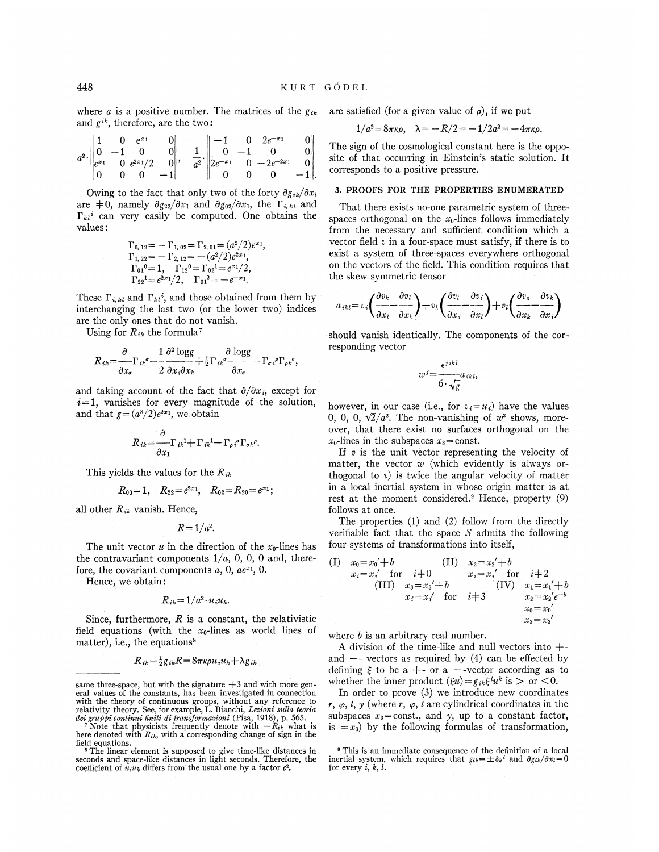where a is a positive number. The matrices of the  $g_{ik}$  are satisfied (for a given value of  $\rho$ ), if we put and  $g^{ik}$ , therefore, are the two:

$$
a^2 \cdot \begin{vmatrix} 1 & 0 & e^{x_1} & 0 \\ 0 & -1 & 0 & 0 \\ e^{x_1} & 0 & e^{2x_1}/2 & 0 \\ 0 & 0 & 0 & -1 \end{vmatrix}, \quad \frac{1}{a^2} \cdot \begin{vmatrix} -1 & 0 & 2e^{-x_1} & 0 \\ 0 & -1 & 0 & 0 \\ 2e^{-x_1} & 0 & -2e^{-2x_1} & 0 \\ 0 & 0 & 0 & -1 \end{vmatrix}
$$

Owing to the fact that only two of the forty  $\partial g_{ik}/\partial x_l$ are  $\neq 0$ , namely  $\partial g_{22}/\partial x_1$  and  $\partial g_{02}/\partial x_1$ , the  $\Gamma_{i,kl}$  and  $\Gamma_{kl}{}^i$  can very easily be computed. One obtains the values:

$$
\begin{array}{l} \Gamma_{0,\,12} = -\,\Gamma_{1,\,02} = \Gamma_{2,\,01} = (a^2/2)e^{x_1}, \\ \Gamma_{1,\,22} = -\,\Gamma_{2,\,12} = -(a^2/2)e^{2x_1}, \\ \Gamma_{01}{}^{0} = 1, \quad \Gamma_{12}{}^{0} = \Gamma_{02}{}^{1} = e^{x_1/2}, \\ \Gamma_{22}{}^{1} = e^{2x_1/2}, \quad \Gamma_{01}{}^{2} = -e^{-x_1}. \end{array}
$$

These  $\Gamma_{i,kl}$  and  $\Gamma_{kl}$ <sup>*i*</sup>, and those obtained from them by interchanging the last two (or the lower two) indices are the only ones that do not vanish.

Using for  $R_{ik}$  the formula<sup>7</sup>

$$
R_{ik} = \frac{\partial}{\partial x_{\sigma}} \Gamma_{ik}{}^{\sigma} - \frac{1}{2} \frac{\partial^2 \log g}{\partial x_i \partial x_k} + \frac{1}{2} \Gamma_{ik}{}^{\sigma} \frac{\partial \log g}{\partial x_{\sigma}} - \Gamma_{\sigma i}{}^{\rho} \Gamma_{\rho k}{}^{\sigma}
$$

and taking account of the fact that  $\partial/\partial x_i$ , except for  $i=1$ , vanishes for every magnitude of the solution, and that  $g = (a^8/2)e^{2x_1}$ , we obtain

$$
R_{ik} = \frac{\sigma}{\partial x_1} \Gamma_{ik}{}^{1} + \Gamma_{ik}{}^{1} - \Gamma_{\rho i}{}^{\sigma} \Gamma_{\sigma k}{}^{\rho}.
$$

This yields the values for the  $R_{ik}$ 

 $\Delta$ 

$$
R_{00}=1, \quad R_{22}=e^{2x_1}, \quad R_{02}=R_{20}=e^{x_1};
$$

all other  $R_{ik}$  vanish. Hence,

 $R = 1/a^2$ .

The unit vector  $u$  in the direction of the  $x_0$ -lines has the contravariant components  $1/a$ , 0, 0, 0 and, therefore, the covariant components  $a, 0, ae^{x_1}, 0$ .

Hence, we obtain:

$$
R_{ik} = 1/a^2 \cdot u_i u_k.
$$

Since, furthermore,  $R$  is a constant, the relativistic field equations (with the  $x_0$ -lines as world lines of matter), i.e., the equations<sup>8</sup>

$$
R_{ik} - \frac{1}{2}g_{ik}R = 8\pi\kappa\rho u_i u_k + \lambda g_{ik}
$$

$$
1/a^2 = 8\pi\kappa\rho, \quad \lambda = -R/2 = -1/2a^2 = -4\pi\kappa\rho
$$

The sign of the cosmological constant here is the opposite of that occurring in Einstein's static solution. It corresponds to a positive pressure.

### 3. PROOFS FOR THE PROPERTIES ENUMERATED

That there exists no-one parametric system of threespaces orthogonal on the  $x_0$ -lines follows immediately from the necessary and sufficient condition which a vector field  $v$  in a four-space must satisfy, if there is to exist a system of three-spaces everywhere orthogonal on the vectors of the field. This condition requires that the skew symmetric tensor

$$
a_{ikl} = v_i \left( \frac{\partial v_k}{\partial x_l} - \frac{\partial v_l}{\partial x_k} \right) + v_k \left( \frac{\partial v_l}{\partial x_i} - \frac{\partial v_i}{\partial x_l} \right) + v_l \left( \frac{\partial v_i}{\partial x_k} - \frac{\partial v_k}{\partial x_i} \right)
$$

should vanish identically. The components of the corresponding vector

$$
w^{j} = \frac{\epsilon^{j\,ik\,l}}{6 \cdot \sqrt{g}} a_{ik\,l},
$$

however, in our case (i.e., for  $v_i = u_i$ ) have the values 0, 0, 0,  $\sqrt{2}/a^2$ . The non-vanishing of  $w^3$  shows, moreover, that there exist no surfaces orthogonal on the  $x_0$ -lines in the subspaces  $x_3$ = const.

If  $v$  is the unit vector representing the velocity of matter, the vector  $w$  (which evidently is always orthogonal to  $v$ ) is twice the angular velocity of matter in a local inertial system in whose origin matter is at rest at the moment considered.<sup>9</sup> Hence, property (9) follows at once.

The properties  $(1)$  and  $(2)$  follow from the directly verifiable fact that the space  $S$  admits the following four systems of transformations into itself,

(I) 
$$
x_0 = x_0' + b
$$
 (II)  $x_2 = x_2' + b$   
\n $x_i = x_i'$  for  $i \neq 0$   $x_i = x_i'$  for  $i \neq 2$   
\n(III)  $x_3 = x_3' + b$  (IV)  $x_1 = x_1' + b$   
\n $x_i = x_i'$  for  $i \neq 3$   $x_2 = x_2' e^{-b}$   
\n $x_0 = x_0'$   
\n $x_3 = x_3'$ 

where  $b$  is an arbitrary real number.

A division of the time-like and null vectors into  $+$ and  $-$ - vectors as required by (4) can be effected by defining  $\xi$  to be a +- or a --vector according as to whether the inner product  $(\xi u) = g_{ik}\xi^i u^k$  is  $>$  or <0.

In order to prove  $(3)$  we introduce new coordinates r,  $\varphi$ , t, y (where r,  $\varphi$ , t are cylindrical coordinates in the subspaces  $x_3$ =const., and y, up to a constant factor, is  $=x_3$ ) by the following formulas of transformation,

same three-space, but with the signature  $+3$  and with more general values of the constants, has been investigated in connection with the theory of continuous groups, without any reference to relativity theory. See, for example, L. Bianchi, Lezioni sulla teoria dei gruppi continui finiti di transformazioni (Fisa, 1918), p. 565.<br>
Note that physicists frequently denote with  $-R_{ik}$  what is

here denoted with  $R_{ik}$ , with a corresponding change of sign in the field equations.

<sup>&</sup>lt;sup>8</sup>The linear element is supposed to give time-like distances in seconds and space-like distances in light seconds. Therefore, the coefficient of  $u_i u_k$  differs from the usual one by a factor  $c^2$ .

<sup>&</sup>lt;sup>9</sup> This is an immediate consequence of the definition of a local inertial system, which requires that  $g_{ik} = \pm \delta_k{}^i$  and  $\partial g_{ik}/\partial x_l = 0$ for every  $i, k, l$ .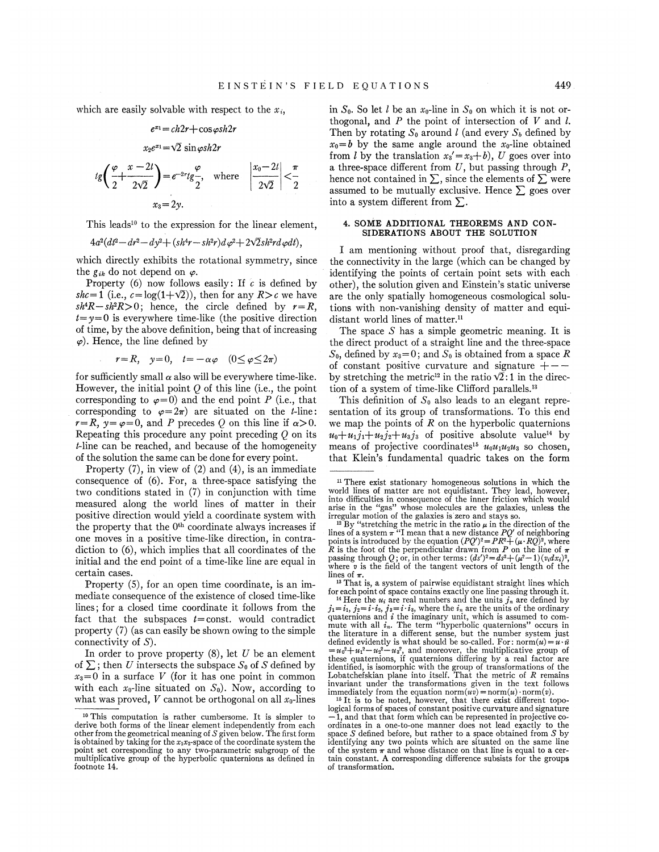$e^{x_1}=ch2r+\cos\varphi sh2r$ 

$$
x_2e^{x_1} = \sqrt{2} \sin \varphi s h2r
$$
  

$$
t g \left( \frac{\varphi}{2} + \frac{x - 2l}{2\sqrt{2}} \right) = e^{-2r} t g \frac{\varphi}{2}, \text{ where } \left| \frac{x_0 - 2l}{2\sqrt{2}} \right| < \frac{\pi}{2}
$$
  

$$
x_3 = 2y.
$$

This leads<sup>10</sup> to the expression for the linear element,

 $4a^2(dt^2 - dr^2 - dy^2 + (sh^4r - sh^2r)d\varphi^2 + 2\sqrt{2}sh^2rd\varphi dt),$ 

which directly exhibits the rotational symmetry, since the  $g_{ik}$  do not depend on  $\varphi$ .

Property (6) now follows easily: If  $c$  is defined by shc=1 (i.e.,  $c = \log(1+\sqrt{2})$ ), then for any  $R>c$  we have  $sh<sup>4</sup>R - sh<sup>2</sup>R > 0$ ; hence, the circle defined by  $r=R$ ,  $t=y=0$  is everywhere time-like (the positive direction of time, by the above definition, being that of increasing  $\varphi$ ). Hence, the line defined by

$$
r = R, \quad y = 0, \quad t = -\alpha\varphi \quad (0 \le \varphi \le 2\pi)
$$

for sufficiently small  $\alpha$  also will be everywhere time-like. However, the initial point  $Q$  of this line (i.e., the poin corresponding to  $\varphi=0$ ) and the end point P (i.e., that corresponding to  $\varphi=2\pi$  are situated on the *t*-line:  $r=R$ ,  $y=\varphi=0$ , and P precedes Q on this line if  $\alpha>0$ . Repeating this procedure any point preceding  $Q$  on its t-line can be reached, and because of the homogeneity of the solution the same can be done for every point.

Property (7), in view of (2) and (4), is an immediate consequence of (6). For, a three-space satisfying the two conditions stated in (7) in conjunction with time measured along the world lines of matter in their positive direction would yield a coordinate system with the property that the 0<sup>th</sup> coordinate always increases if one moves in a positive time-like direction, in contradiction to (6), which implies that all coordinates of the initial and the end point of a time-like line are equal in certain cases.

Property (5), for an open time coordinate, is an immediate consequence of the existence of closed time-like lines; for a closed time coordinate it follows from the fact that the subspaces  $t=$ const. would contradict property (7) (as can easily be shown owing to the simple connectivity of S).

In order to prove property  $(8)$ , let U be an element of  $\Sigma$ ; then U intersects the subspace  $S_0$  of S defined by  $x_3=0$  in a surface V (for it has one point in common with each  $x_0$ -line situated on  $S_0$ ). Now, according to what was proved,  $V$  cannot be orthogonal on all  $x_0$ -lines

in  $S_0$ . So let l be an  $x_0$ -line in  $S_0$  on which it is not orthogonal, and  $P$  the point of intersection of  $V$  and  $l$ . Then by rotating  $S_0$  around *l* (and every  $S_b$  defined by  $x_0 = b$  by the same angle around the  $x_0$ -line obtained from l by the translation  $x_3' = x_3 + b$ , U goes over into a three-space different from  $U$ , but passing through  $P$ , hence not contained in  $\Sigma$ , since the elements of  $\Sigma$  were assumed to be mutually exclusive. Hence  $\sum$  goes over into a system different from  $\Sigma$ .

## 4. SOME ADDITIONAL THEOREMS AND CON-SIDERATIONS ABOUT THE SOLUTION

I am mentioning. without proof that, disregarding the connectivity in the large (which can be changed by identifying the points of certain point sets with each other), the solution given and Einstein's static universe are the only spatially homogeneous cosmological solutions with non-vanishing density of matter and equidistant world lines of matter.<sup>11</sup>

The space  $S$  has a simple geometric meaning. It is the direct product of a straight line and the three-space  $S_0$ , defined by  $x_3=0$ ; and  $S_0$  is obtained from a space R of constant positive curvature and signature  $+$ by stretching the metric<sup>12</sup> in the ratio  $\sqrt{2}$ :1 in the direction of a system of time-like Clifford parallels. $^{13}$ 

This definition of  $S_0$  also leads to an elegant representation of its group of transformations. To this end we map the points of  $R$  on the hyperbolic quaternions  $u_0 + u_1 j_1 + u_2 j_2 + u_3 j_3$  of positive absolute value<sup>14</sup> by means of projective coordinates<sup>15</sup>  $u_0u_1u_2u_3$  so chosen, that Klein's fundamental quadric takes on the form

<sup>13</sup> That is, a system of pairwise equidistant straight lines which for each point of space contains exactly one line passing through it.

<sup>14</sup> Here the  $u_i$  are real numbers and the units  $j_n$  are defined by ince the  $i_n$  are the indicates and increased in  $j_1 = i_1$ ,  $j_2 = i \cdot i_3$ ,  $j_3 = i \cdot i_3$ , where the  $i_n$  are the units of the ordinary quaternions and i the imaginary unit, which is assumed to commute with all  $i_n$ . The term "hyperbolic quaternions" occurs in the literature in a different sense, but the number system just defined evidently is what should be so-called. For:  $norm(u) = u \cdot \bar{u}$ defined evidently is what should be so-called. For: horm( $u$ )=  $u \cdot u$ <br>=  $u_0^2 + u_1^2 - u_2^2 - u_3^2$ , and moreover, the multiplicative group of<br>these quaternions, if quaternions differing by a real factor are identified, is isomorphic with the group of transformations of the Lobatchefskian plane into itself. That the metric of R remains invariant under the transformations given in the text follows immediately from the equation norm $(uv) = norm(u) \cdot norm(v)$ .

<sup>&</sup>lt;sup>10</sup> This computation is rather cumbersome. It is simpler to derive both forms of the linear element independently from each other from the geometrical meaning of  $S$  given below. The first form is obtained by taking for the  $x_1x_2$ -space of the coordinate system the point set corresponding to any two-parametric subgroup of the multiplicative group of the hyperbolic quaternions as defined in footnote 14.

<sup>&</sup>lt;sup>11</sup> There exist stationary homogeneous solutions in which the world lines of matter are not equidistant. They lead, however, into difficulties in consequence of the inner friction which would arise in the "gas" whose molecules are the galaxies, unless the irregular motion of the galaxies is zero and stays so.

irregular motion of the galaxies is zero and stays so.<br><sup>12</sup> By "stretching the metric in the ratio  $\mu$  in the direction of the lines of a system  $\pi$  "I mean that a new distance *PQ'* of neighboring points is introduced by the equation  $(PQ')^2 = PR^2 + (\mu \cdot RQ)^2$ , where R is the foot of the perpendicular drawn from P on the line of  $\pi$ R is the foot of the perpendicular drawn from P on the line of  $\pi$ <br>passing through Q; or, in other terms:  $(ds')^2 = ds^2 + (\mu^2 - 1)(\nu dx_s)^2$ ,<br>where v is the field of the tangent vectors of unit length of the lines of  $\pi$ .

<sup>&</sup>lt;sup>15</sup> It is to be noted, however, that there exist different topo-<br>logical forms of spaces of constant positive curvature and signature 1, and that that form which can be represented in projective coordinates in a one-to-one manner does not lead exactly to the space  $S$  defined before, but rather to a space obtained from  $S$  by identifying any two points which are situated on the same line of the system  $\pi$  and whose distance on that line is equal to a certain constant. A corresponding difference subsists for the groups of transformation.